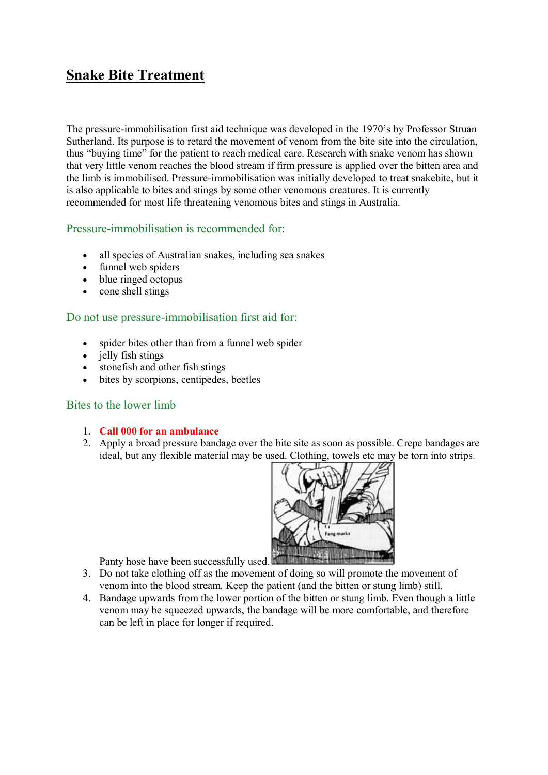# **Snake Bite Treatment**

The pressure-immobilisation first aid technique was developed in the 1970's by Professor Struan Sutherland. Its purpose is to retard the movement of venom from the bite site into the circulation, thus "buying time" for the patient to reach medical care. Research with snake venom has shown that very little venom reaches the blood stream if firm pressure is applied over the bitten area and the limb is immobilised. Pressure-immobilisation was initially developed to treat snakebite, but it is also applicable to bites and stings by some other venomous creatures. It is currently recommended for most life threatening venomous bites and stings in Australia.

## Pressure-immobilisation is recommended for:

- all species of Australian snakes, including sea snakes
- funnel web spiders
- blue ringed octopus
- cone shell stings

## Do not use pressure-immobilisation first aid for:

- spider bites other than from a funnel web spider
- jelly fish stings
- stonefish and other fish stings
- bites by scorpions, centipedes, beetles

# Bites to the lower limb

- 1. **Call 000 for an ambulance**
- 2. Apply a broad pressure bandage over the bite site as soon as possible. Crepe bandages are ideal, but any flexible material may be used. Clothing, towels etc may be torn into strips.



Panty hose have been successfully used.

- 3. Do not take clothing off as the movement of doing so will promote the movement of venom into the blood stream. Keep the patient (and the bitten or stung limb) still.
- 4. Bandage upwards from the lower portion of the bitten or stung limb. Even though a little venom may be squeezed upwards, the bandage will be more comfortable, and therefore can be left in place for longer if required.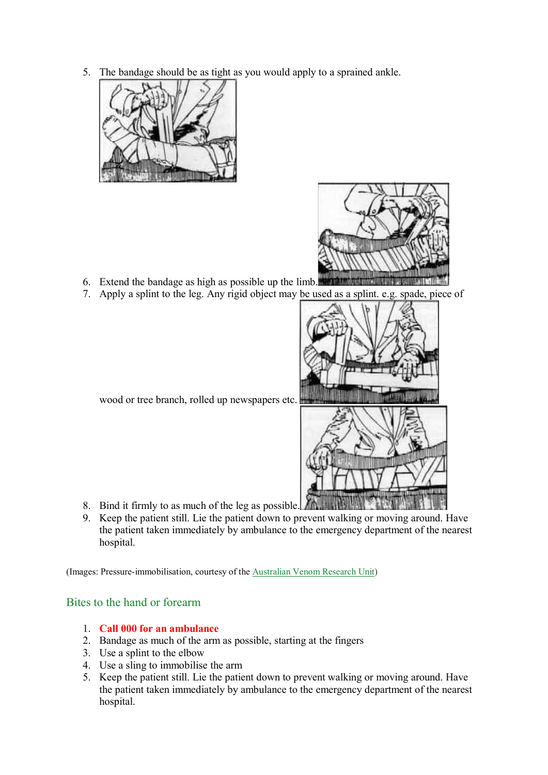5. The bandage should be as tight as you would apply to a sprained ankle.





- 6. Extend the bandage as high as possible up the limb.
- 7. Apply a splint to the leg. Any rigid object may be used as a splint. e.g. spade, piece of



wood or tree branch, rolled up newspapers etc.

- 
- 8. Bind it firmly to as much of the leg as possible.
- 9. Keep the patient still. Lie the patient down to prevent walking or moving around. Have the patient taken immediately by ambulance to the emergency department of the nearest hospital.

(Images: Pressure-immobilisation, courtesy of the [Australian Venom Research Unit\)](http://www.avru.org/firstaid/firstaid_pib.html)

# Bites to the hand or forearm

- 1. **Call 000 for an ambulance**
- 2. Bandage as much of the arm as possible, starting at the fingers
- 3. Use a splint to the elbow
- 4. Use a sling to immobilise the arm
- 5. Keep the patient still. Lie the patient down to prevent walking or moving around. Have the patient taken immediately by ambulance to the emergency department of the nearest hospital.